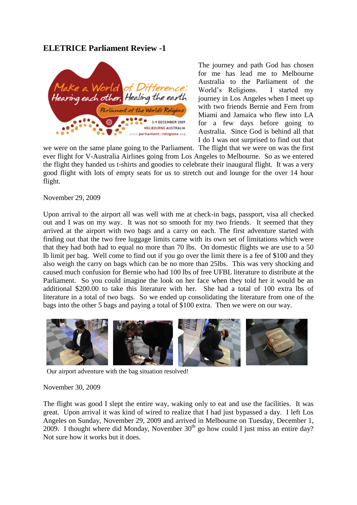### **ELETRICE Parliament Review -1**



The journey and path God has chosen for me has lead me to Melbourne Australia to the Parliament of the World's Religions. I started my journey in Los Angeles when I meet up with two friends Bernie and Fern from Miami and Jamaica who flew into LA for a few days before going to Australia. Since God is behind all that I do I was not surprised to find out that

we were on the same plane going to the Parliament. The flight that we were on was the first ever flight for V-Australia Airlines going from Los Angeles to Melbourne. So as we entered the flight they handed us t-shirts and goodies to celebrate their inaugural flight. It was a very good flight with lots of empty seats for us to stretch out and lounge for the over 14 hour flight.

November 29, 2009

Upon arrival to the airport all was well with me at check-in bags, passport, visa all checked out and I was on my way. It was not so smooth for my two friends. It seemed that they arrived at the airport with two bags and a carry on each. The first adventure started with finding out that the two free luggage limits came with its own set of limitations which were that they had both had to equal no more than 70 lbs. On domestic flights we are use to a 50 lb limit per bag. Well come to find out if you go over the limit there is a fee of \$100 and they also weigh the carry on bags which can be no more than 25lbs. This was very shocking and caused much confusion for Bernie who had 100 lbs of free UFBL literature to distribute at the Parliament. So you could imagine the look on her face when they told her it would be an additional \$200.00 to take this literature with her. She had a total of 100 extra lbs of literature in a total of two bags. So we ended up consolidating the literature from one of the bags into the other 5 bags and paying a total of \$100 extra. Then we were on our way.



Our airport adventure with the bag situation resolved!

#### November 30, 2009

The flight was good I slept the entire way, waking only to eat and use the facilities. It was great. Upon arrival it was kind of wired to realize that I had just bypassed a day. I left Los Angeles on Sunday, November 29, 2009 and arrived in Melbourne on Tuesday, December 1, 2009. I thought where did Monday, November  $30<sup>th</sup>$  go how could I just miss an entire day? Not sure how it works but it does.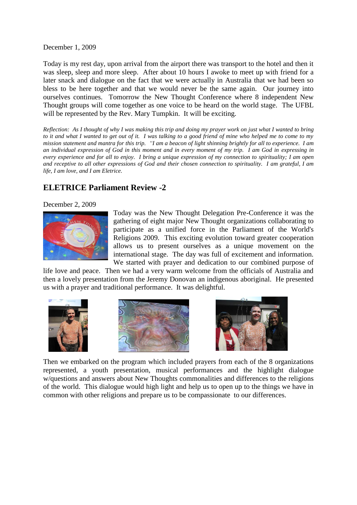December 1, 2009

Today is my rest day, upon arrival from the airport there was transport to the hotel and then it was sleep, sleep and more sleep. After about 10 hours I awoke to meet up with friend for a later snack and dialogue on the fact that we were actually in Australia that we had been so bless to be here together and that we would never be the same again. Our journey into ourselves continues. Tomorrow the New Thought Conference where 8 independent New Thought groups will come together as one voice to be heard on the world stage. The UFBL will be represented by the Rev. Mary Tumpkin. It will be exciting.

*Reflection: As I thought of why I was making this trip and doing my prayer work on just what I wanted to bring to it and what I wanted to get out of it. I was talking to a good friend of mine who helped me to come to my mission statement and mantra for this trip. "I am a beacon of light shinning brightly for all to experience. I am an individual expression of God in this moment and in every moment of my trip. I am God in expressing in every experience and for all to enjoy. I bring a unique expression of my connection to spirituality; I am open and receptive to all other expressions of God and their chosen connection to spirituality. I am grateful, I am life, I am love, and I am Eletrice.*

# **ELETRICE Parliament Review -2**

#### December 2, 2009



Today was the New Thought Delegation Pre-Conference it was the gathering of eight major New Thought organizations collaborating to participate as a unified force in the Parliament of the World's Religions 2009. This exciting evolution toward greater cooperation allows us to present ourselves as a unique movement on the international stage. The day was full of excitement and information. We started with prayer and dedication to our combined purpose of

life love and peace. Then we had a very warm welcome from the officials of Australia and then a lovely presentation from the Jeremy Donovan an indigenous aboriginal. He presented us with a prayer and traditional performance. It was delightful.







Then we embarked on the program which included prayers from each of the 8 organizations represented, a youth presentation, musical performances and the highlight dialogue w/questions and answers about New Thoughts commonalities and differences to the religions of the world. This dialogue would high light and help us to open up to the things we have in common with other religions and prepare us to be compassionate to our differences.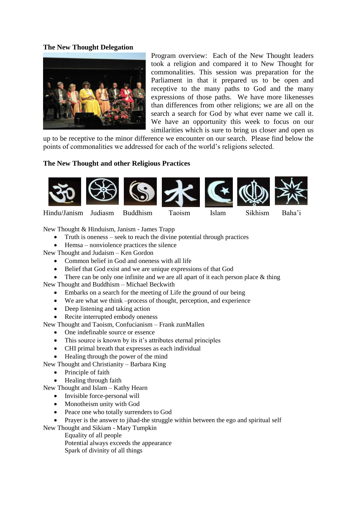### **The New Thought Delegation**



Program overview: Each of the New Thought leaders took a religion and compared it to New Thought for commonalities. This session was preparation for the Parliament in that it prepared us to be open and receptive to the many paths to God and the many expressions of those paths. We have more likenesses than differences from other religions; we are all on the search a search for God by what ever name we call it. We have an opportunity this week to focus on our similarities which is sure to bring us closer and open us

up to be receptive to the minor difference we encounter on our search. Please find below the points of commonalities we addressed for each of the world's religions selected.

### **The New Thought and other Religious Practices**



New Thought & Hinduism, Janism - James Trapp

- Truth is oneness seek to reach the divine potential through practices
- Hemsa nonviolence practices the silence

New Thought and Judaism – Ken Gordon

- Common belief in God and oneness with all life
- Belief that God exist and we are unique expressions of that God
- There can be only one infinite and we are all apart of it each person place  $&$  thing

New Thought and Buddhism – Michael Beckwith

- Embarks on a search for the meeting of Life the ground of our being
- We are what we think –process of thought, perception, and experience
- Deep listening and taking action
- Recite interrupted embody oneness
- New Thought and Taoism, Confucianism Frank zunMallen
	- One indefinable source or essence
		- This source is known by its it's attributes eternal principles
		- CHI primal breath that expresses as each individual
	- Healing through the power of the mind

New Thought and Christianity – Barbara King

- Principle of faith
- Healing through faith

New Thought and Islam – Kathy Hearn

- Invisible force-personal will
- Monotheism unity with God
- Peace one who totally surrenders to God

• Prayer is the answer to jihad-the struggle within between the ego and spiritual self

New Thought and Sikiam - Mary Tumpkin

Equality of all people

Potential always exceeds the appearance

Spark of divinity of all things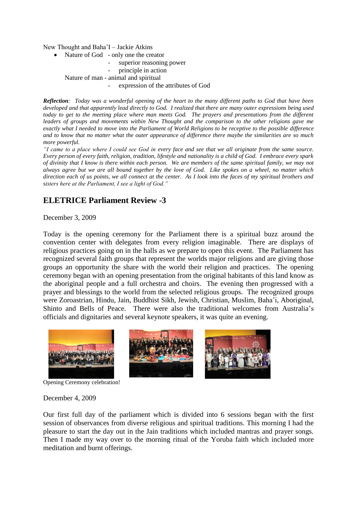New Thought and Baha'I – Jackie Atkins

- Nature of God only one the creator
	- superior reasoning power
	- principle in action

Nature of man - animal and spiritual

expression of the attributes of God

*Reflection: Today was a wonderful opening of the heart to the many different paths to God that have been developed and that apparently lead directly to God. I realized that there are many outer expressions being used*  today to get to the meeting place where man meets God. The prayers and presentations from the different *leaders of groups and movements within New Thought and the comparison to the other religions gave me exactly what I needed to move into the Parliament of World Religions to be receptive to the possible difference and to know that no matter what the outer appearance of difference there maybe the similarities are so much more powerful.* 

*"I came to a place where I could see God in every face and see that we all originate from the same source. Every person of every faith, religion, tradition, lifestyle and nationality is a child of God. I embrace every spark of divinity that I know is there within each person. We are members of the same spiritual family, we may not always agree but we are all bound together by the love of God. Like spokes on a wheel, no matter which direction each of us points, we all connect at the center. As I look into the faces of my spiritual brothers and sisters here at the Parliament, I see a light of God."*

# **ELETRICE Parliament Review -3**

#### December 3, 2009

Today is the opening ceremony for the Parliament there is a spiritual buzz around the convention center with delegates from every religion imaginable. There are displays of religious practices going on in the halls as we prepare to open this event. The Parliament has recognized several faith groups that represent the worlds major religions and are giving those groups an opportunity the share with the world their religion and practices. The opening ceremony began with an opening presentation from the original habitants of this land know as the aboriginal people and a full orchestra and choirs. The evening then progressed with a prayer and blessings to the world from the selected religious groups. The recognized groups were Zoroastrian, Hindu, Jain, Buddhist Sikh, Jewish, Christian, Muslim, Baha'i, Aboriginal, Shinto and Bells of Peace. There were also the traditional welcomes from Australia's officials and dignitaries and several keynote speakers, it was quite an evening.



Opening Ceremony celebration!

#### December 4, 2009

Our first full day of the parliament which is divided into 6 sessions began with the first session of observances from diverse religious and spiritual traditions. This morning I had the pleasure to start the day out in the Jain traditions which included mantras and prayer songs. Then I made my way over to the morning ritual of the Yoruba faith which included more meditation and burnt offerings.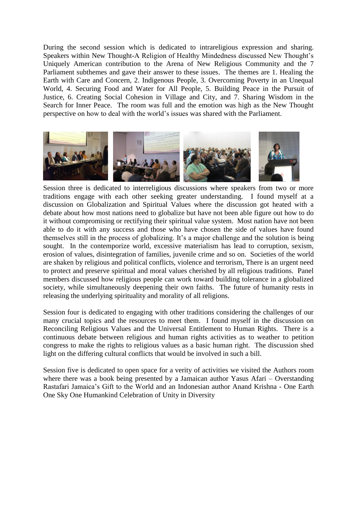During the second session which is dedicated to intrareligious expression and sharing. Speakers within New Thought-A Religion of Healthy Mindedness discussed New Thought's Uniquely American contribution to the Arena of New Religious Community and the 7 Parliament subthemes and gave their answer to these issues. The themes are 1. Healing the Earth with Care and Concern, 2. Indigenous People, 3. Overcoming Poverty in an Unequal World, 4. Securing Food and Water for All People, 5. Building Peace in the Pursuit of Justice, 6. Creating Social Cohesion in Village and City, and 7. Sharing Wisdom in the Search for Inner Peace. The room was full and the emotion was high as the New Thought perspective on how to deal with the world's issues was shared with the Parliament.



Session three is dedicated to interreligious discussions where speakers from two or more traditions engage with each other seeking greater understanding. I found myself at a discussion on Globalization and Spiritual Values where the discussion got heated with a debate about how most nations need to globalize but have not been able figure out how to do it without compromising or rectifying their spiritual value system. Most nation have not been able to do it with any success and those who have chosen the side of values have found themselves still in the process of globalizing. It's a major challenge and the solution is being sought. In the contemporize world, excessive materialism has lead to corruption, sexism, erosion of values, disintegration of families, juvenile crime and so on. Societies of the world are shaken by religious and political conflicts, violence and terrorism, There is an urgent need to protect and preserve spiritual and moral values cherished by all religious traditions. Panel members discussed how religious people can work toward building tolerance in a globalized society, while simultaneously deepening their own faiths. The future of humanity rests in releasing the underlying spirituality and morality of all religions.

Session four is dedicated to engaging with other traditions considering the challenges of our many crucial topics and the resources to meet them. I found myself in the discussion on Reconciling Religious Values and the Universal Entitlement to Human Rights. There is a continuous debate between religious and human rights activities as to weather to petition congress to make the rights to religious values as a basic human right. The discussion shed light on the differing cultural conflicts that would be involved in such a bill.

Session five is dedicated to open space for a verity of activities we visited the Authors room where there was a book being presented by a Jamaican author Yasus Afari – Overstanding Rastafari Jamaica's Gift to the World and an Indonesian author Anand Krishna - One Earth One Sky One Humankind Celebration of Unity in Diversity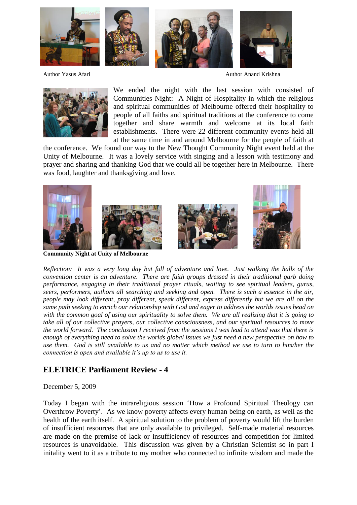

Author Yasus Afari **Author Anand Krishna** Author Anand Krishna



We ended the night with the last session with consisted of Communities Night: A Night of Hospitality in which the religious and spiritual communities of Melbourne offered their hospitality to people of all faiths and spiritual traditions at the conference to come together and share warmth and welcome at its local faith establishments. There were 22 different community events held all at the same time in and around Melbourne for the people of faith at

the conference. We found our way to the New Thought Community Night event held at the Unity of Melbourne. It was a lovely service with singing and a lesson with testimony and prayer and sharing and thanking God that we could all be together here in Melbourne. There was food, laughter and thanksgiving and love.









*Reflection: It was a very long day but full of adventure and love. Just walking the halls of the convention center is an adventure. There are faith groups dressed in their traditional garb doing performance, engaging in their traditional prayer rituals, waiting to see spiritual leaders, gurus, seers, performers, authors all searching and seeking and open. There is such a essence in the air, people may look different, pray different, speak different, express differently but we are all on the same path seeking to enrich our relationship with God and eager to address the worlds issues head on with the common goal of using our spirituality to solve them. We are all realizing that it is going to take all of our collective prayers, our collective consciousness, and our spiritual resources to move the world forward. The conclusion I received from the sessions I was lead to attend was that there is enough of everything need to solve the worlds global issues we just need a new perspective on how to use them. God is still available to us and no matter which method we use to turn to him/her the* 

# **ELETRICE Parliament Review - 4**

*connection is open and available it's up to us to use it.* 

#### December 5, 2009

Today I began with the intrareligious session 'How a Profound Spiritual Theology can Overthrow Poverty'. As we know poverty affects every human being on earth, as well as the health of the earth itself. A spiritual solution to the problem of poverty would lift the burden of insufficient resources that are only available to privileged. Self-made material resources are made on the premise of lack or insufficiency of resources and competition for limited resources is unavoidable. This discussion was given by a Christian Scientist so in part I initality went to it as a tribute to my mother who connected to infinite wisdom and made the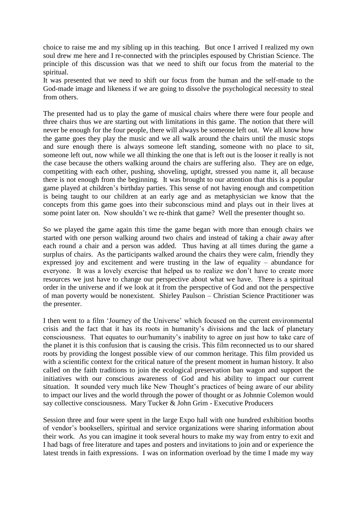choice to raise me and my sibling up in this teaching. But once I arrived I realized my own soul drew me here and I re-connected with the principles espoused by Christian Science. The principle of this discussion was that we need to shift our focus from the material to the spiritual.

It was presented that we need to shift our focus from the human and the self-made to the God-made image and likeness if we are going to dissolve the psychological necessity to steal from others.

The presented had us to play the game of musical chairs where there were four people and three chairs thus we are starting out with limitations in this game. The notion that there will never be enough for the four people, there will always be someone left out. We all know how the game goes they play the music and we all walk around the chairs until the music stops and sure enough there is always someone left standing, someone with no place to sit, someone left out, now while we all thinking the one that is left out is the looser it really is not the case because the others walking around the chairs are suffering also. They are on edge, competiting with each other, pushing, shoveling, uptight, stressed you name it, all because there is not enough from the beginning. It was brought to our attention that this is a popular game played at children's birthday parties. This sense of not having enough and competition is being taught to our children at an early age and as metaphysician we know that the concepts from this game goes into their subconscious mind and plays out in their lives at some point later on. Now shouldn't we re-think that game? Well the presenter thought so.

So we played the game again this time the game began with more than enough chairs we started with one person walking around two chairs and instead of taking a chair away after each round a chair and a person was added. Thus having at all times during the game a surplus of chairs. As the participants walked around the chairs they were calm, friendly they expressed joy and excitement and were trusting in the law of equality – abundance for everyone. It was a lovely exercise that helped us to realize we don't have to create more resources we just have to change our perspective about what we have. There is a spiritual order in the universe and if we look at it from the perspective of God and not the perspective of man poverty would be nonexistent. Shirley Paulson – Christian Science Practitioner was the presenter.

I then went to a film 'Journey of the Universe' which focused on the current environmental crisis and the fact that it has its roots in humanity's divisions and the lack of planetary consciousness. That equates to our/humanity's inability to agree on just how to take care of the planet it is this confusion that is causing the crisis. This film reconnected us to our shared roots by providing the longest possible view of our common heritage. This film provided us with a scientific context for the critical nature of the present moment in human history. It also called on the faith traditions to join the ecological preservation ban wagon and support the initiatives with our conscious awareness of God and his ability to impact our current situation. It sounded very much like New Thought's practices of being aware of our ability to impact our lives and the world through the power of thought or as Johnnie Colemon would say collective consciousness. Mary Tucker & John Grim - Executive Producers

Session three and four were spent in the large Expo hall with one hundred exhibition booths of vendor's booksellers, spiritual and service organizations were sharing information about their work. As you can imagine it took several hours to make my way from entry to exit and I had bags of free literature and tapes and posters and invitations to join and or experience the latest trends in faith expressions. I was on information overload by the time I made my way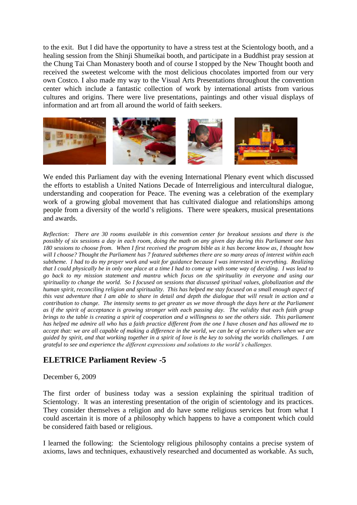to the exit. But I did have the opportunity to have a stress test at the Scientology booth, and a healing session from the Shinji Shumeikai booth, and participate in a Buddhist pray session at the Chung Tai Chan Monastery booth and of course I stopped by the New Thought booth and received the sweetest welcome with the most delicious chocolates imported from our very own Costco. I also made my way to the Visual Arts Presentations throughout the convention center which include a fantastic collection of work by international artists from various cultures and origins. There were live presentations, paintings and other visual displays of information and art from all around the world of faith seekers.



We ended this Parliament day with the evening International Plenary event which discussed the efforts to establish a United Nations Decade of Interreligious and intercultural dialogue, understanding and cooperation for Peace. The evening was a celebration of the exemplary work of a growing global movement that has cultivated dialogue and relationships among people from a diversity of the world's religions. There were speakers, musical presentations and awards.

*Reflection: There are 30 rooms available in this convention center for breakout sessions and there is the possibly of six sessions a day in each room, doing the math on any given day during this Parliament one has 180 sessions to choose from. When I first received the program bible as it has become know as, I thought how will I choose? Thought the Parliament has 7 featured subthemes there are so many areas of interest within each subtheme. I had to do my prayer work and wait for guidance because I was interested in everything. Realizing that I could physically be in only one place at a time I had to come up with some way of deciding. I was lead to go back to my mission statement and mantra which focus on the spirituality in everyone and using our spirituality to change the world. So I focused on sessions that discussed spiritual values, globalization and the human spirit, reconciling religion and spirituality. This has helped me stay focused on a small enough aspect of this vast adventure that I am able to share in detail and depth the dialogue that will result in action and a contribution to change. The intensity seems to get greater as we move through the days here at the Parliament as if the spirit of acceptance is growing stronger with each passing day. The validity that each faith group brings to the table is creating a spirit of cooperation and a willingness to see the others side. This parliament has helped me admire all who has a faith practice different from the one I have chosen and has allowed me to accept that: we are all capable of making a difference in the world, we can be of service to others when we are guided by spirit, and that working together in a spirit of love is the key to solving the worlds challenges. I am grateful to see and experience the different expressions and solutions to the world's challenges.*

# **ELETRICE Parliament Review -5**

### December 6, 2009

The first order of business today was a session explaining the spiritual tradition of Scientology. It was an interesting presentation of the origin of scientology and its practices. They consider themselves a religion and do have some religious services but from what I could ascertain it is more of a philosophy which happens to have a component which could be considered faith based or religious.

I learned the following: the Scientology religious philosophy contains a precise system of axioms, laws and techniques, exhaustively researched and documented as workable. As such,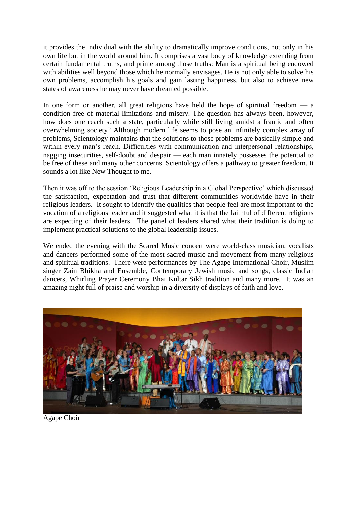it provides the individual with the ability to dramatically improve conditions, not only in his own life but in the world around him. It comprises a vast body of knowledge extending from certain fundamental truths, and prime among those truths: Man is a spiritual being endowed with abilities well beyond those which he normally envisages. He is not only able to solve his own problems, accomplish his goals and gain lasting happiness, but also to achieve new states of awareness he may never have dreamed possible.

In one form or another, all great religions have held the hope of spiritual freedom  $\frac{1}{2}$  a condition free of material limitations and misery. The question has always been, however, how does one reach such a state, particularly while still living amidst a frantic and often overwhelming society? Although modern life seems to pose an infinitely complex array of problems, Scientology maintains that the solutions to those problems are basically simple and within every man's reach. Difficulties with communication and interpersonal relationships, nagging insecurities, self-doubt and despair — each man innately possesses the potential to be free of these and many other concerns. Scientology offers a pathway to greater freedom. It sounds a lot like New Thought to me.

Then it was off to the session 'Religious Leadership in a Global Perspective' which discussed the satisfaction, expectation and trust that different communities worldwide have in their religious leaders. It sought to identify the qualities that people feel are most important to the vocation of a religious leader and it suggested what it is that the faithful of different religions are expecting of their leaders. The panel of leaders shared what their tradition is doing to implement practical solutions to the global leadership issues.

We ended the evening with the Scared Music concert were world-class musician, vocalists and dancers performed some of the most sacred music and movement from many religious and spiritual traditions. There were performances by The Agape International Choir, Muslim singer Zain Bhikha and Ensemble, Contemporary Jewish music and songs, classic Indian dancers, Whirling Prayer Ceremony Bhai Kultar Sikh tradition and many more. It was an amazing night full of praise and worship in a diversity of displays of faith and love.



Agape Choir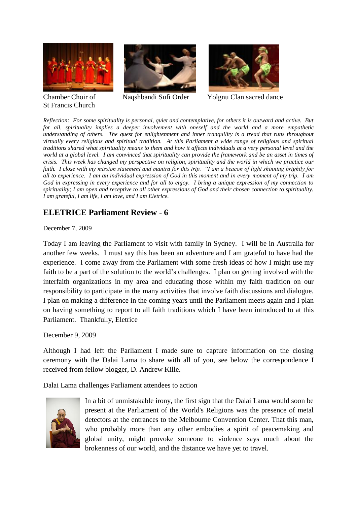



St Francis Church



Chamber Choir of Naqshbandi Sufi Order Yolgnu Clan sacred dance

*Reflection: For some spirituality is personal, quiet and contemplative, for others it is outward and active. But for all, spirituality implies a deeper involvement with oneself and the world and a more empathetic understanding of others. The quest for enlightenment and inner tranquility is a tread that runs throughout virtually every religious and spiritual tradition. At this Parliament a wide range of religious and spiritual traditions shared what spirituality means to them and how it affects individuals at a very personal level and the world at a global level. I am convinced that spirituality can provide the framework and be an asset in times of crisis. This week has changed my perspective on religion, spirituality and the world in which we practice our faith. I close with my mission statement and mantra for this trip. "I am a beacon of light shinning brightly for all to experience. I am an individual expression of God in this moment and in every moment of my trip. I am God in expressing in every experience and for all to enjoy. I bring a unique expression of my connection to spirituality; I am open and receptive to all other expressions of God and their chosen connection to spirituality. I am grateful, I am life, I am love, and I am Eletrice.*

# **ELETRICE Parliament Review - 6**

December 7, 2009

Today I am leaving the Parliament to visit with family in Sydney. I will be in Australia for another few weeks. I must say this has been an adventure and I am grateful to have had the experience. I come away from the Parliament with some fresh ideas of how I might use my faith to be a part of the solution to the world's challenges. I plan on getting involved with the interfaith organizations in my area and educating those within my faith tradition on our responsibility to participate in the many activities that involve faith discussions and dialogue. I plan on making a difference in the coming years until the Parliament meets again and I plan on having something to report to all faith traditions which I have been introduced to at this Parliament. Thankfully, Eletrice

December 9, 2009

Although I had left the Parliament I made sure to capture information on the closing ceremony with the Dalai Lama to share with all of you, see below the correspondence I received from fellow blogger, D. Andrew Kille.

Dalai Lama challenges Parliament attendees to action



In a bit of unmistakable irony, the first sign that the Dalai Lama would soon be present at the Parliament of the World's Religions was the presence of metal detectors at the entrances to the Melbourne Convention Center. That this man, who probably more than any other embodies a spirit of peacemaking and global unity, might provoke someone to violence says much about the brokenness of our world, and the distance we have yet to travel.